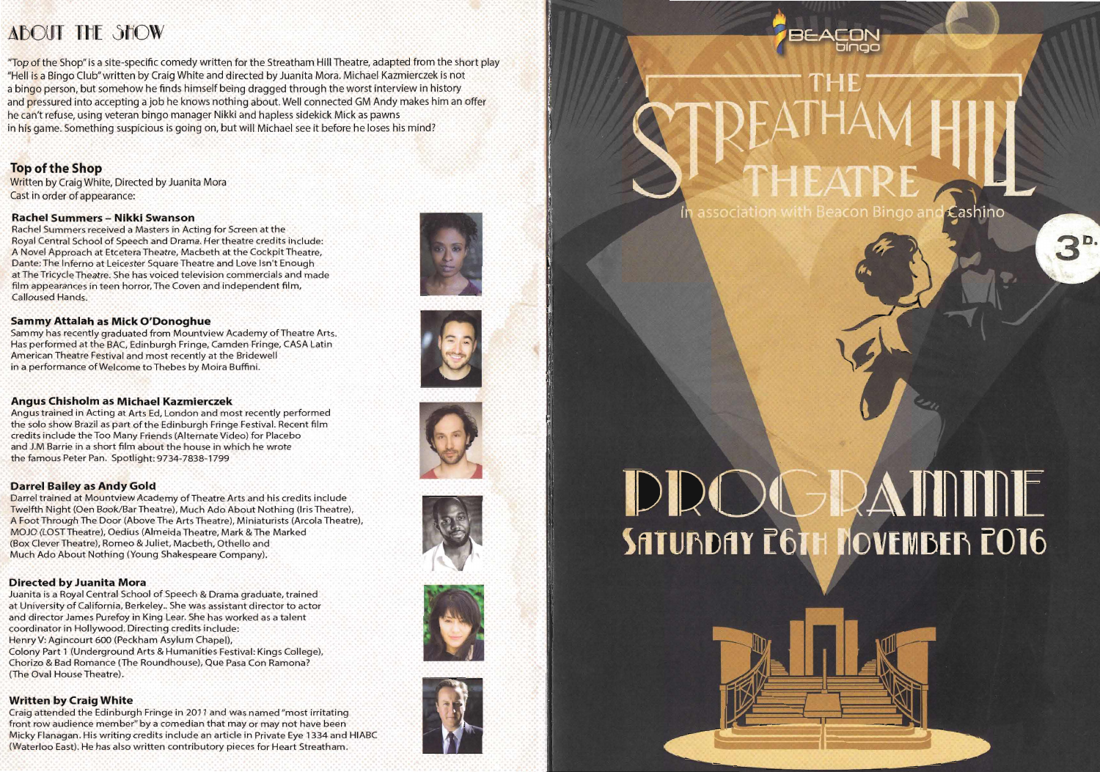## **ABOUT THE SHOW**

"Top of the Shop" is a site-specific comedy written for the Streatham Hill Theatre, adapted from the short play "Hell is a Bingo Club" written by Craig White and directed by Juanita Mora. Michael Kazmierczek is not a bingo person, but somehow he finds himself being dragged through the worst interview in history and pressured into accepting a job he knows nothing about. Well connected GM Andy makes him an offer he can't refuse, using veteran bingo manager Nikki and hapless sidekick Mick as pawns in his game. Something suspicious is going on, but will Michael see it before he loses his mind?

#### **Top** ofthe **Shop**

Written by Craig White, Directed by Juanita Mora Cast in order of appearance:

#### **Rachel Summers - Nlkkl Swanson**

Rachel Summers received a Masters in Acting for Screen at the Royal Central School of Speech and Drama. Her theatre credits include: A Novel Approach at Etcetera Theatre, Macbeth at the Cockpit Theatre, Dante: The Inferno at Leicester Square Theatre and Love Isn't Enough atThe Tricycle Theatre. She has voiced television commercials and made film appearances in teen horror. The Coven and independent film, Calloused Hands.

#### **Sammy Attalah as Mlck O'Donoghue**

Sammy has recently graduated from Mountview Academy of Theatre Arts. Has performed at the BAC, Edinburgh Fringe, Camden Fringe, CASA Latin American Theatre Festival and most recently at the Bridewell in a performance of Welcome to Thebes by Moira Buffini.

#### **Angus Chisholm as Mlchael Kazmlerczek**

Angus trained in Acting at Arts Ed, London and most recently performed the solo show Brazil as part of the Edinburgh Fringe Festival. Recent film credits include the Too Many Friends (Alternate Video) for Placebo and J.M Barrie in a short film about the house in which he wrote the famous Peter Pan. Spotlight: 9734-7838-1799

#### **Darrel Bailey as Andy Gold**

Darrel trained at Mountview Academy of Theatre Arts and his credits include Twelfth Night (Oen Book/Bar Theatre), Much Ado About Nothing (Iris Theatre), A Foot Through The Door (Above The Arts Theatre), Miniaturists (Arcola Theatre), MOJO (LOST Theatre), Oedius (Almeida Theatre, Mark & The Marked (Box Clever Theatre), Romeo & Juliet, Macbeth, Othello and Much Ado About Nothing (Young Shakespeare Company).

#### **Directed by Juanita Mora**

Juanita is a Royal Central School of Speech & Drama graduate, trained at University of California, Berkeley.. She was assistant director to actor and director James Purefoy in King Lear. She has worked as a talent coordinator in Hollywood. Directing credits include: Henry V: Agincourt 600 (Peckham Asylum Chapel), Colony Part 1 (Underground Arts & Humanities Festival: Kings College), Chorizo & Bad Romance (The Roundhouse), Que Pasa Con Ramona? (The Oval House Theatre).

#### **Written by Cralg White**

Craig attended the Edinburgh Fringe in 2011 and was named "most irritating front row audience member" by a comedian that mayor may not have been Micky Flanagan. His writing credits include an article in Private Eye 1334 and HIABC (Waterloo East). He has also written contributory pieces for Heart Streatham.













## DROGRAMME **SATURDAY C6TH NOVEMBER CO16**